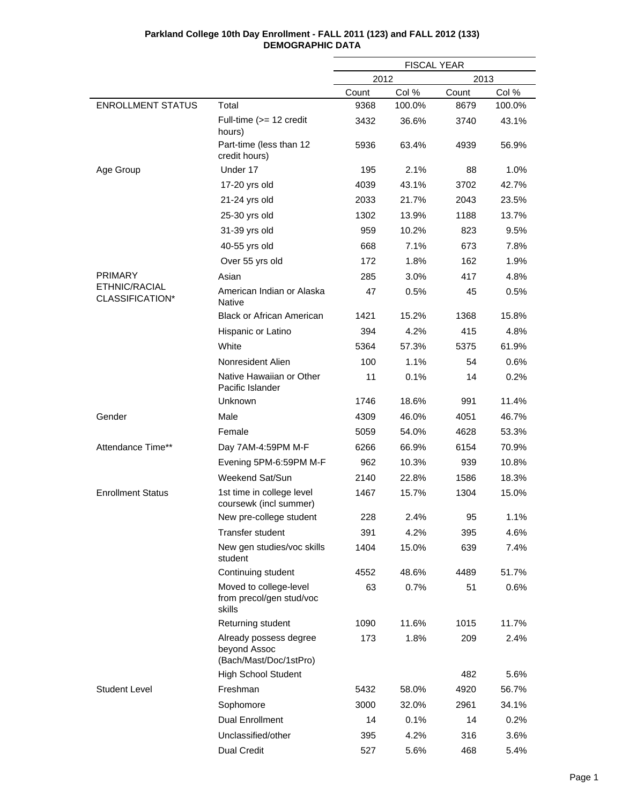| Parkland College 10th Day Enrollment - FALL 2011 (123) and FALL 2012 (133) |
|----------------------------------------------------------------------------|
| <b>DEMOGRAPHIC DATA</b>                                                    |

|                                  |                                                                  | <b>FISCAL YEAR</b> |        |       |        |  |
|----------------------------------|------------------------------------------------------------------|--------------------|--------|-------|--------|--|
|                                  |                                                                  | 2012               |        | 2013  |        |  |
|                                  |                                                                  | Count              | Col %  | Count | Col %  |  |
| <b>ENROLLMENT STATUS</b>         | Total                                                            | 9368               | 100.0% | 8679  | 100.0% |  |
|                                  | Full-time (>= 12 credit<br>hours)                                | 3432               | 36.6%  | 3740  | 43.1%  |  |
|                                  | Part-time (less than 12<br>credit hours)                         | 5936               | 63.4%  | 4939  | 56.9%  |  |
| Age Group                        | Under 17                                                         | 195                | 2.1%   | 88    | 1.0%   |  |
|                                  | 17-20 yrs old                                                    | 4039               | 43.1%  | 3702  | 42.7%  |  |
|                                  | 21-24 yrs old                                                    | 2033               | 21.7%  | 2043  | 23.5%  |  |
|                                  | 25-30 yrs old                                                    | 1302               | 13.9%  | 1188  | 13.7%  |  |
|                                  | 31-39 yrs old                                                    | 959                | 10.2%  | 823   | 9.5%   |  |
|                                  | 40-55 yrs old                                                    | 668                | 7.1%   | 673   | 7.8%   |  |
|                                  | Over 55 yrs old                                                  | 172                | 1.8%   | 162   | 1.9%   |  |
| <b>PRIMARY</b>                   | Asian                                                            | 285                | 3.0%   | 417   | 4.8%   |  |
| ETHNIC/RACIAL<br>CLASSIFICATION* | American Indian or Alaska<br>Native                              | 47                 | 0.5%   | 45    | 0.5%   |  |
|                                  | <b>Black or African American</b>                                 | 1421               | 15.2%  | 1368  | 15.8%  |  |
|                                  | Hispanic or Latino                                               | 394                | 4.2%   | 415   | 4.8%   |  |
|                                  | White                                                            | 5364               | 57.3%  | 5375  | 61.9%  |  |
|                                  | Nonresident Alien                                                | 100                | 1.1%   | 54    | 0.6%   |  |
|                                  | Native Hawaiian or Other<br>Pacific Islander                     | 11                 | 0.1%   | 14    | 0.2%   |  |
|                                  | Unknown                                                          | 1746               | 18.6%  | 991   | 11.4%  |  |
| Gender                           | Male                                                             | 4309               | 46.0%  | 4051  | 46.7%  |  |
|                                  | Female                                                           | 5059               | 54.0%  | 4628  | 53.3%  |  |
| Attendance Time**                | Day 7AM-4:59PM M-F                                               | 6266               | 66.9%  | 6154  | 70.9%  |  |
|                                  | Evening 5PM-6:59PM M-F                                           | 962                | 10.3%  | 939   | 10.8%  |  |
|                                  | Weekend Sat/Sun                                                  | 2140               | 22.8%  | 1586  | 18.3%  |  |
| <b>Enrollment Status</b>         | 1st time in college level<br>coursewk (incl summer)              | 1467               | 15.7%  | 1304  | 15.0%  |  |
|                                  | New pre-college student                                          | 228                | 2.4%   | 95    | 1.1%   |  |
|                                  | <b>Transfer student</b>                                          | 391                | 4.2%   | 395   | 4.6%   |  |
|                                  | New gen studies/voc skills<br>student                            | 1404               | 15.0%  | 639   | 7.4%   |  |
|                                  | Continuing student                                               | 4552               | 48.6%  | 4489  | 51.7%  |  |
|                                  | Moved to college-level<br>from precol/gen stud/voc<br>skills     | 63                 | 0.7%   | 51    | 0.6%   |  |
|                                  | Returning student                                                | 1090               | 11.6%  | 1015  | 11.7%  |  |
|                                  | Already possess degree<br>beyond Assoc<br>(Bach/Mast/Doc/1stPro) | 173                | 1.8%   | 209   | 2.4%   |  |
|                                  | <b>High School Student</b>                                       |                    |        | 482   | 5.6%   |  |
| <b>Student Level</b>             | Freshman                                                         | 5432               | 58.0%  | 4920  | 56.7%  |  |
|                                  | Sophomore                                                        | 3000               | 32.0%  | 2961  | 34.1%  |  |
|                                  | <b>Dual Enrollment</b>                                           | 14                 | 0.1%   | 14    | 0.2%   |  |
|                                  | Unclassified/other                                               | 395                | 4.2%   | 316   | 3.6%   |  |
|                                  | Dual Credit                                                      | 527                | 5.6%   | 468   | 5.4%   |  |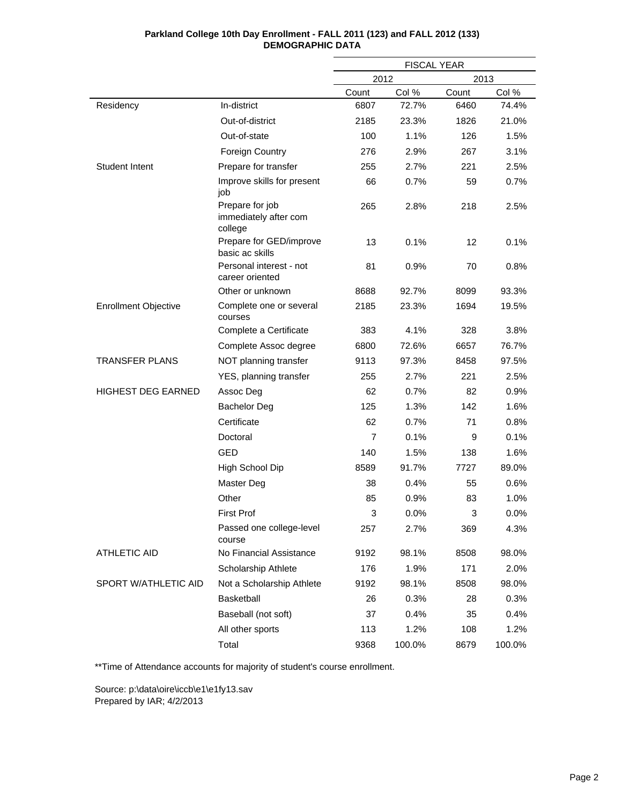|                             |                                                     | <b>FISCAL YEAR</b> |        |       |        |
|-----------------------------|-----------------------------------------------------|--------------------|--------|-------|--------|
|                             |                                                     | 2012               |        | 2013  |        |
|                             |                                                     | Count              | Col %  | Count | Col %  |
| Residency                   | In-district                                         | 6807               | 72.7%  | 6460  | 74.4%  |
|                             | Out-of-district                                     | 2185               | 23.3%  | 1826  | 21.0%  |
|                             | Out-of-state                                        | 100                | 1.1%   | 126   | 1.5%   |
|                             | <b>Foreign Country</b>                              | 276                | 2.9%   | 267   | 3.1%   |
| <b>Student Intent</b>       | Prepare for transfer                                | 255                | 2.7%   | 221   | 2.5%   |
|                             | Improve skills for present<br>job                   | 66                 | 0.7%   | 59    | 0.7%   |
|                             | Prepare for job<br>immediately after com<br>college | 265                | 2.8%   | 218   | 2.5%   |
|                             | Prepare for GED/improve<br>basic ac skills          | 13                 | 0.1%   | 12    | 0.1%   |
|                             | Personal interest - not<br>career oriented          | 81                 | 0.9%   | 70    | 0.8%   |
|                             | Other or unknown                                    | 8688               | 92.7%  | 8099  | 93.3%  |
| <b>Enrollment Objective</b> | Complete one or several<br>courses                  | 2185               | 23.3%  | 1694  | 19.5%  |
|                             | Complete a Certificate                              | 383                | 4.1%   | 328   | 3.8%   |
|                             | Complete Assoc degree                               | 6800               | 72.6%  | 6657  | 76.7%  |
| <b>TRANSFER PLANS</b>       | NOT planning transfer                               | 9113               | 97.3%  | 8458  | 97.5%  |
|                             | YES, planning transfer                              | 255                | 2.7%   | 221   | 2.5%   |
| <b>HIGHEST DEG EARNED</b>   | Assoc Deg                                           | 62                 | 0.7%   | 82    | 0.9%   |
|                             | <b>Bachelor Deg</b>                                 | 125                | 1.3%   | 142   | 1.6%   |
|                             | Certificate                                         | 62                 | 0.7%   | 71    | 0.8%   |
|                             | Doctoral                                            | $\overline{7}$     | 0.1%   | 9     | 0.1%   |
|                             | <b>GED</b>                                          | 140                | 1.5%   | 138   | 1.6%   |
|                             | High School Dip                                     | 8589               | 91.7%  | 7727  | 89.0%  |
|                             | Master Deg                                          | 38                 | 0.4%   | 55    | 0.6%   |
|                             | Other                                               | 85                 | 0.9%   | 83    | 1.0%   |
|                             | <b>First Prof</b>                                   | 3                  | 0.0%   | 3     | 0.0%   |
|                             | Passed one college-level<br>course                  | 257                | 2.7%   | 369   | 4.3%   |
| <b>ATHLETIC AID</b>         | No Financial Assistance                             | 9192               | 98.1%  | 8508  | 98.0%  |
|                             | Scholarship Athlete                                 | 176                | 1.9%   | 171   | 2.0%   |
| SPORT W/ATHLETIC AID        | Not a Scholarship Athlete                           | 9192               | 98.1%  | 8508  | 98.0%  |
|                             | Basketball                                          | 26                 | 0.3%   | 28    | 0.3%   |
|                             | Baseball (not soft)                                 | 37                 | 0.4%   | 35    | 0.4%   |
|                             | All other sports                                    | 113                | 1.2%   | 108   | 1.2%   |
|                             | Total                                               | 9368               | 100.0% | 8679  | 100.0% |

\*\*Time of Attendance accounts for majority of student's course enrollment.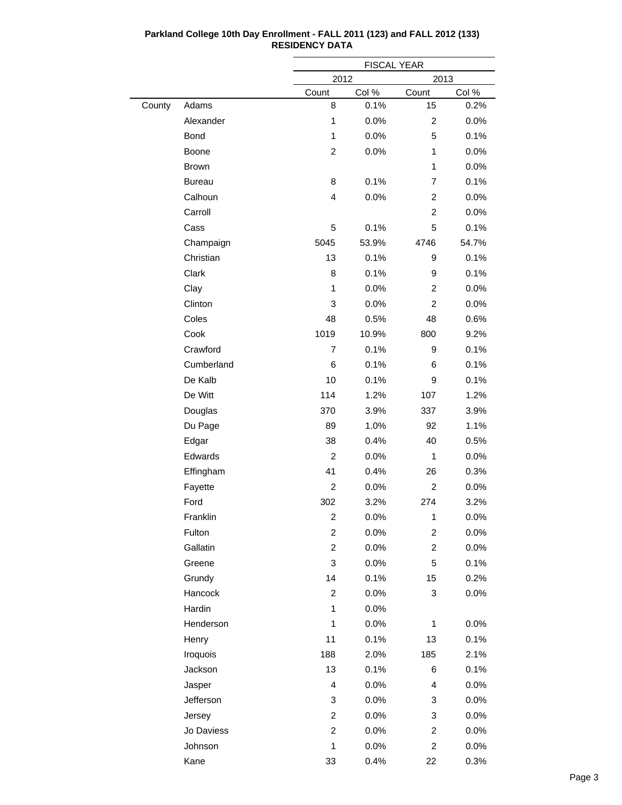|        |               |                         | <b>FISCAL YEAR</b> |                         |         |  |  |
|--------|---------------|-------------------------|--------------------|-------------------------|---------|--|--|
|        |               | 2012                    |                    | 2013                    |         |  |  |
|        |               | Count                   | Col %              | Count                   | Col %   |  |  |
| County | Adams         | 8                       | 0.1%               | 15                      | 0.2%    |  |  |
|        | Alexander     | 1                       | 0.0%               | $\overline{c}$          | 0.0%    |  |  |
|        | <b>Bond</b>   | 1                       | 0.0%               | 5                       | 0.1%    |  |  |
|        | Boone         | $\overline{c}$          | 0.0%               | 1                       | 0.0%    |  |  |
|        | <b>Brown</b>  |                         |                    | 1                       | 0.0%    |  |  |
|        | <b>Bureau</b> | 8                       | 0.1%               | $\overline{7}$          | 0.1%    |  |  |
|        | Calhoun       | 4                       | 0.0%               | $\overline{c}$          | 0.0%    |  |  |
|        | Carroll       |                         |                    | $\overline{2}$          | 0.0%    |  |  |
|        | Cass          | 5                       | 0.1%               | 5                       | 0.1%    |  |  |
|        | Champaign     | 5045                    | 53.9%              | 4746                    | 54.7%   |  |  |
|        | Christian     | 13                      | 0.1%               | 9                       | 0.1%    |  |  |
|        | Clark         | 8                       | 0.1%               | 9                       | 0.1%    |  |  |
|        | Clay          | 1                       | 0.0%               | $\overline{c}$          | 0.0%    |  |  |
|        | Clinton       | 3                       | 0.0%               | $\overline{c}$          | 0.0%    |  |  |
|        | Coles         | 48                      | 0.5%               | 48                      | 0.6%    |  |  |
|        | Cook          | 1019                    | 10.9%              | 800                     | 9.2%    |  |  |
|        | Crawford      | $\overline{7}$          | 0.1%               | 9                       | 0.1%    |  |  |
|        | Cumberland    | 6                       | 0.1%               | 6                       | 0.1%    |  |  |
|        | De Kalb       | 10                      | 0.1%               | 9                       | 0.1%    |  |  |
|        | De Witt       | 114                     | 1.2%               | 107                     | 1.2%    |  |  |
|        | Douglas       | 370                     | 3.9%               | 337                     | 3.9%    |  |  |
|        | Du Page       | 89                      | 1.0%               | 92                      | 1.1%    |  |  |
|        | Edgar         | 38                      | 0.4%               | 40                      | 0.5%    |  |  |
|        | Edwards       | $\overline{c}$          | 0.0%               | 1                       | 0.0%    |  |  |
|        | Effingham     | 41                      | 0.4%               | 26                      | 0.3%    |  |  |
|        | Fayette       | $\overline{c}$          | 0.0%               | $\overline{c}$          | 0.0%    |  |  |
|        | Ford          | 302                     | 3.2%               | 274                     | 3.2%    |  |  |
|        | Franklin      | $\overline{\mathbf{c}}$ | 0.0%               | $\mathbf{1}$            | 0.0%    |  |  |
|        | Fulton        | $\overline{c}$          | 0.0%               | $\overline{\mathbf{c}}$ | 0.0%    |  |  |
|        | Gallatin      | $\overline{c}$          | 0.0%               | $\overline{c}$          | 0.0%    |  |  |
|        | Greene        | 3                       | 0.0%               | 5                       | 0.1%    |  |  |
|        | Grundy        | 14                      | 0.1%               | 15                      | 0.2%    |  |  |
|        | Hancock       | $\overline{c}$          | 0.0%               | 3                       | $0.0\%$ |  |  |
|        | Hardin        | $\mathbf{1}$            | 0.0%               |                         |         |  |  |
|        | Henderson     | 1                       | 0.0%               | 1                       | 0.0%    |  |  |
|        | Henry         | 11                      | 0.1%               | 13                      | 0.1%    |  |  |
|        | Iroquois      | 188                     | 2.0%               | 185                     | 2.1%    |  |  |
|        | Jackson       | 13                      | 0.1%               | 6                       | 0.1%    |  |  |
|        | Jasper        | 4                       | 0.0%               | 4                       | $0.0\%$ |  |  |
|        | Jefferson     | 3                       | 0.0%               | 3                       | $0.0\%$ |  |  |
|        | Jersey        | $\overline{c}$          | 0.0%               | 3                       | 0.0%    |  |  |
|        | Jo Daviess    | $\overline{c}$          | $0.0\%$            | $\overline{\mathbf{c}}$ | $0.0\%$ |  |  |
|        | Johnson       | 1                       | 0.0%               | $\overline{\mathbf{c}}$ | 0.0%    |  |  |
|        | Kane          | 33                      | 0.4%               | 22                      | 0.3%    |  |  |

 $\overline{\phantom{0}}$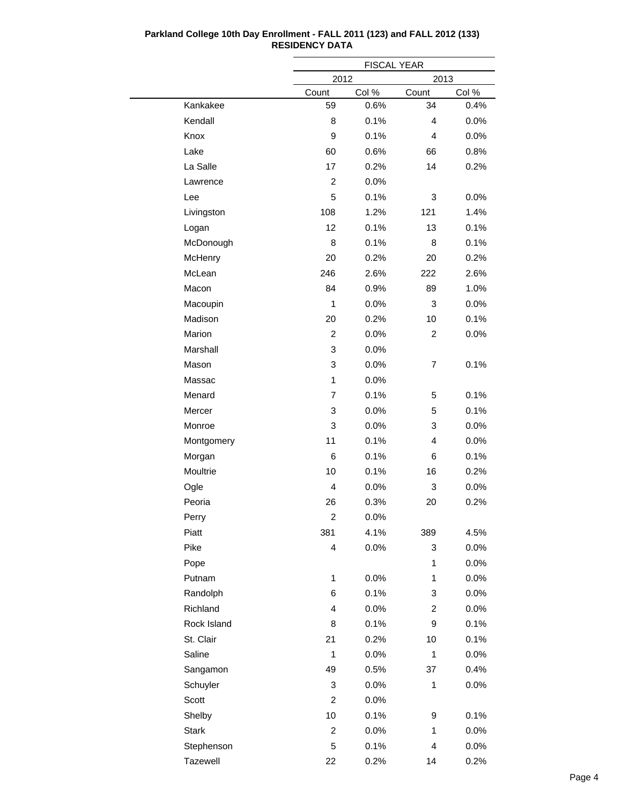|              |                         | <b>FISCAL YEAR</b> |                |       |
|--------------|-------------------------|--------------------|----------------|-------|
|              | 2012                    |                    | 2013           |       |
|              | Count                   | Col %              | Count          | Col % |
| Kankakee     | 59                      | 0.6%               | 34             | 0.4%  |
| Kendall      | 8                       | 0.1%               | 4              | 0.0%  |
| Knox         | 9                       | 0.1%               | 4              | 0.0%  |
| Lake         | 60                      | 0.6%               | 66             | 0.8%  |
| La Salle     | 17                      | 0.2%               | 14             | 0.2%  |
| Lawrence     | $\overline{c}$          | 0.0%               |                |       |
| Lee          | 5                       | 0.1%               | 3              | 0.0%  |
| Livingston   | 108                     | 1.2%               | 121            | 1.4%  |
| Logan        | 12                      | 0.1%               | 13             | 0.1%  |
| McDonough    | 8                       | 0.1%               | 8              | 0.1%  |
| McHenry      | 20                      | 0.2%               | 20             | 0.2%  |
| McLean       | 246                     | 2.6%               | 222            | 2.6%  |
| Macon        | 84                      | 0.9%               | 89             | 1.0%  |
| Macoupin     | 1                       | 0.0%               | 3              | 0.0%  |
| Madison      | 20                      | 0.2%               | 10             | 0.1%  |
| Marion       | $\overline{c}$          | 0.0%               | 2              | 0.0%  |
| Marshall     | 3                       | 0.0%               |                |       |
| Mason        | 3                       | 0.0%               | 7              | 0.1%  |
| Massac       | 1                       | 0.0%               |                |       |
| Menard       | 7                       | 0.1%               | 5              | 0.1%  |
| Mercer       | 3                       | 0.0%               | 5              | 0.1%  |
| Monroe       | 3                       | 0.0%               | 3              | 0.0%  |
| Montgomery   | 11                      | 0.1%               | 4              | 0.0%  |
| Morgan       | 6                       | 0.1%               | 6              | 0.1%  |
| Moultrie     | 10                      | 0.1%               | 16             | 0.2%  |
| Ogle         | 4                       | 0.0%               | 3              | 0.0%  |
| Peoria       | 26                      | 0.3%               | 20             | 0.2%  |
| Perry        | 2                       | 0.0%               |                |       |
| Piatt        | 381                     | 4.1%               | 389            | 4.5%  |
| Pike         | 4                       | 0.0%               | 3              | 0.0%  |
| Pope         |                         |                    | 1              | 0.0%  |
| Putnam       | $\mathbf{1}$            | 0.0%               | 1              | 0.0%  |
| Randolph     | 6                       | 0.1%               | 3              | 0.0%  |
| Richland     | 4                       | 0.0%               | $\overline{c}$ | 0.0%  |
| Rock Island  | 8                       | 0.1%               | 9              | 0.1%  |
| St. Clair    | 21                      | 0.2%               | 10             | 0.1%  |
| Saline       | 1                       | 0.0%               | 1              | 0.0%  |
| Sangamon     | 49                      | 0.5%               | 37             | 0.4%  |
| Schuyler     | 3                       | 0.0%               | $\mathbf{1}$   | 0.0%  |
| Scott        | $\overline{\mathbf{c}}$ | 0.0%               |                |       |
| Shelby       | 10                      | 0.1%               | 9              | 0.1%  |
| <b>Stark</b> | $\overline{c}$          | 0.0%               | 1              | 0.0%  |
| Stephenson   | 5                       | 0.1%               | 4              | 0.0%  |
| Tazewell     | 22                      | 0.2%               | 14             | 0.2%  |
|              |                         |                    |                |       |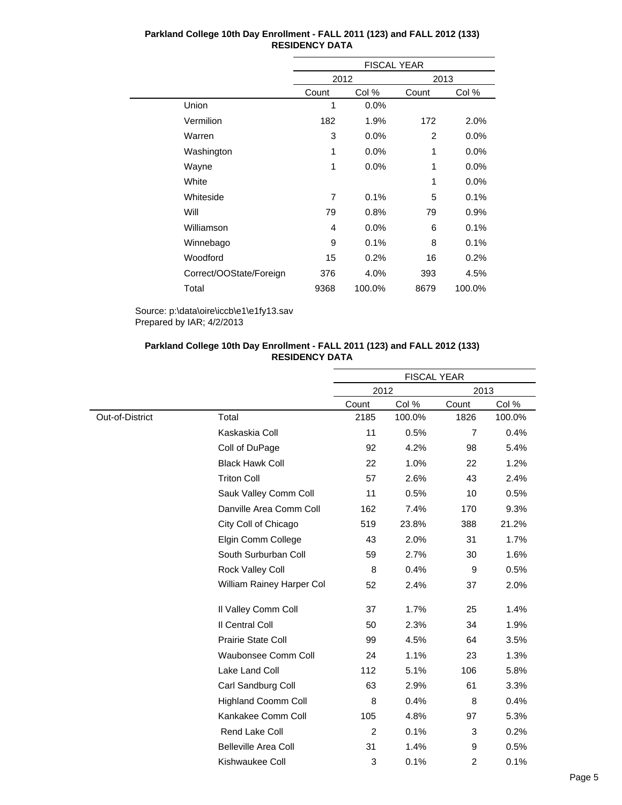|                         | <b>FISCAL YEAR</b> |        |       |        |  |
|-------------------------|--------------------|--------|-------|--------|--|
|                         | 2012               |        | 2013  |        |  |
|                         | Count              | Col %  | Count | Col %  |  |
| Union                   | 1                  | 0.0%   |       |        |  |
| Vermilion               | 182                | 1.9%   | 172   | 2.0%   |  |
| Warren                  | 3                  | 0.0%   | 2     | 0.0%   |  |
| Washington              | 1                  | 0.0%   | 1     | 0.0%   |  |
| Wayne                   | 1                  | 0.0%   | 1     | 0.0%   |  |
| White                   |                    |        | 1     | 0.0%   |  |
| Whiteside               | $\overline{7}$     | 0.1%   | 5     | 0.1%   |  |
| Will                    | 79                 | 0.8%   | 79    | 0.9%   |  |
| Williamson              | 4                  | 0.0%   | 6     | 0.1%   |  |
| Winnebago               | 9                  | 0.1%   | 8     | 0.1%   |  |
| Woodford                | 15                 | 0.2%   | 16    | 0.2%   |  |
| Correct/OOState/Foreign | 376                | 4.0%   | 393   | 4.5%   |  |
| Total                   | 9368               | 100.0% | 8679  | 100.0% |  |

Source: p:\data\oire\iccb\e1\e1fy13.sav Prepared by IAR; 4/2/2013

## **Parkland College 10th Day Enrollment - FALL 2011 (123) and FALL 2012 (133) RESIDENCY DATA**

|                 |                             | <b>FISCAL YEAR</b> |        |                |        |
|-----------------|-----------------------------|--------------------|--------|----------------|--------|
|                 |                             | 2012               |        | 2013           |        |
|                 |                             | Count              | Col %  | Count          | Col %  |
| Out-of-District | Total                       | 2185               | 100.0% | 1826           | 100.0% |
|                 | Kaskaskia Coll              | 11                 | 0.5%   | $\overline{7}$ | 0.4%   |
|                 | Coll of DuPage              | 92                 | 4.2%   | 98             | 5.4%   |
|                 | <b>Black Hawk Coll</b>      | 22                 | 1.0%   | 22             | 1.2%   |
|                 | <b>Triton Coll</b>          | 57                 | 2.6%   | 43             | 2.4%   |
|                 | Sauk Valley Comm Coll       | 11                 | 0.5%   | 10             | 0.5%   |
|                 | Danville Area Comm Coll     | 162                | 7.4%   | 170            | 9.3%   |
|                 | City Coll of Chicago        | 519                | 23.8%  | 388            | 21.2%  |
|                 | Elgin Comm College          | 43                 | 2.0%   | 31             | 1.7%   |
|                 | South Surburban Coll        | 59                 | 2.7%   | 30             | 1.6%   |
|                 | Rock Valley Coll            | 8                  | 0.4%   | 9              | 0.5%   |
|                 | William Rainey Harper Col   | 52                 | 2.4%   | 37             | 2.0%   |
|                 | Il Valley Comm Coll         | 37                 | 1.7%   | 25             | 1.4%   |
|                 | Il Central Coll             | 50                 | 2.3%   | 34             | 1.9%   |
|                 | Prairie State Coll          | 99                 | 4.5%   | 64             | 3.5%   |
|                 | <b>Waubonsee Comm Coll</b>  | 24                 | 1.1%   | 23             | 1.3%   |
|                 | Lake Land Coll              | 112                | 5.1%   | 106            | 5.8%   |
|                 | Carl Sandburg Coll          | 63                 | 2.9%   | 61             | 3.3%   |
|                 | <b>Highland Coomm Coll</b>  | 8                  | 0.4%   | 8              | 0.4%   |
|                 | Kankakee Comm Coll          | 105                | 4.8%   | 97             | 5.3%   |
|                 | Rend Lake Coll              | 2                  | 0.1%   | 3              | 0.2%   |
|                 | <b>Belleville Area Coll</b> | 31                 | 1.4%   | 9              | 0.5%   |
|                 | Kishwaukee Coll             | 3                  | 0.1%   | $\overline{c}$ | 0.1%   |
|                 |                             |                    |        |                |        |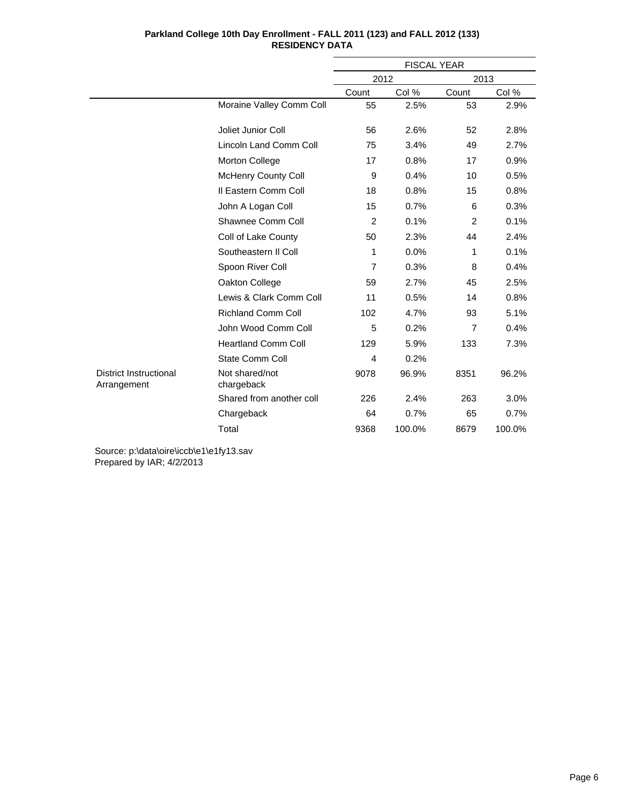|                                              |                              | <b>FISCAL YEAR</b> |        |                |        |
|----------------------------------------------|------------------------------|--------------------|--------|----------------|--------|
|                                              |                              | 2012               |        | 2013           |        |
|                                              |                              | Count              | Col %  | Count          | Col %  |
|                                              | Moraine Valley Comm Coll     | 55                 | 2.5%   | 53             | 2.9%   |
|                                              | Joliet Junior Coll           | 56                 | 2.6%   | 52             | 2.8%   |
|                                              | Lincoln Land Comm Coll       | 75                 | 3.4%   | 49             | 2.7%   |
|                                              | Morton College               | 17                 | 0.8%   | 17             | 0.9%   |
|                                              | McHenry County Coll          | 9                  | 0.4%   | 10             | 0.5%   |
|                                              | Il Eastern Comm Coll         | 18                 | 0.8%   | 15             | 0.8%   |
|                                              | John A Logan Coll            | 15                 | 0.7%   | 6              | 0.3%   |
|                                              | Shawnee Comm Coll            | 2                  | 0.1%   | 2              | 0.1%   |
|                                              | Coll of Lake County          | 50                 | 2.3%   | 44             | 2.4%   |
|                                              | Southeastern II Coll         | 1                  | 0.0%   | 1              | 0.1%   |
|                                              | Spoon River Coll             | $\overline{7}$     | 0.3%   | 8              | 0.4%   |
|                                              | Oakton College               | 59                 | 2.7%   | 45             | 2.5%   |
|                                              | Lewis & Clark Comm Coll      | 11                 | 0.5%   | 14             | 0.8%   |
|                                              | <b>Richland Comm Coll</b>    | 102                | 4.7%   | 93             | 5.1%   |
|                                              | John Wood Comm Coll          | 5                  | 0.2%   | $\overline{7}$ | 0.4%   |
|                                              | <b>Heartland Comm Coll</b>   | 129                | 5.9%   | 133            | 7.3%   |
|                                              | <b>State Comm Coll</b>       | 4                  | 0.2%   |                |        |
| <b>District Instructional</b><br>Arrangement | Not shared/not<br>chargeback | 9078               | 96.9%  | 8351           | 96.2%  |
|                                              | Shared from another coll     | 226                | 2.4%   | 263            | 3.0%   |
|                                              | Chargeback                   | 64                 | 0.7%   | 65             | 0.7%   |
|                                              | Total                        | 9368               | 100.0% | 8679           | 100.0% |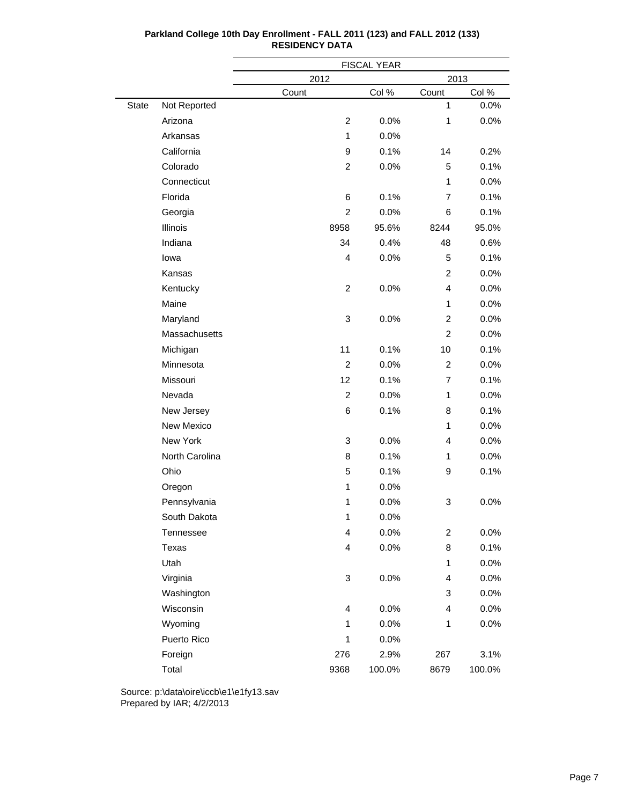|       |                |                         | FISCAL YEAR |                |        |
|-------|----------------|-------------------------|-------------|----------------|--------|
|       |                | 2012                    |             | 2013           |        |
|       |                | Count                   | Col %       | Count          | Col %  |
| State | Not Reported   |                         |             | 1              | 0.0%   |
|       | Arizona        | $\boldsymbol{2}$        | 0.0%        | 1              | 0.0%   |
|       | Arkansas       | 1                       | 0.0%        |                |        |
|       | California     | 9                       | 0.1%        | 14             | 0.2%   |
|       | Colorado       | 2                       | 0.0%        | 5              | 0.1%   |
|       | Connecticut    |                         |             | 1              | 0.0%   |
|       | Florida        | 6                       | 0.1%        | $\overline{7}$ | 0.1%   |
|       | Georgia        | 2                       | 0.0%        | 6              | 0.1%   |
|       | Illinois       | 8958                    | 95.6%       | 8244           | 95.0%  |
|       | Indiana        | 34                      | 0.4%        | 48             | 0.6%   |
|       | lowa           | 4                       | 0.0%        | 5              | 0.1%   |
|       | Kansas         |                         |             | $\overline{c}$ | 0.0%   |
|       | Kentucky       | $\overline{c}$          | 0.0%        | $\overline{4}$ | 0.0%   |
|       | Maine          |                         |             | $\mathbf{1}$   | 0.0%   |
|       | Maryland       | 3                       | 0.0%        | $\overline{c}$ | 0.0%   |
|       | Massachusetts  |                         |             | $\overline{c}$ | 0.0%   |
|       | Michigan       | 11                      | 0.1%        | 10             | 0.1%   |
|       | Minnesota      | $\overline{c}$          | 0.0%        | $\overline{c}$ | 0.0%   |
|       | Missouri       | 12                      | 0.1%        | $\overline{7}$ | 0.1%   |
|       | Nevada         | $\overline{c}$          | 0.0%        | 1              | 0.0%   |
|       | New Jersey     | 6                       | 0.1%        | 8              | 0.1%   |
|       | New Mexico     |                         |             | 1              | 0.0%   |
|       | New York       | 3                       | 0.0%        | $\overline{4}$ | 0.0%   |
|       | North Carolina | 8                       | 0.1%        | 1              | 0.0%   |
|       | Ohio           | 5                       | 0.1%        | 9              | 0.1%   |
|       | Oregon         | 1                       | 0.0%        |                |        |
|       | Pennsylvania   | 1                       | 0.0%        | 3              | 0.0%   |
|       | South Dakota   | 1                       | 0.0%        |                |        |
|       | Tennessee      | $\overline{\mathbf{4}}$ | 0.0%        | $\overline{c}$ | 0.0%   |
|       | Texas          | 4                       | 0.0%        | 8              | 0.1%   |
|       | Utah           |                         |             | $\mathbf{1}$   | 0.0%   |
|       | Virginia       | 3                       | 0.0%        | 4              | 0.0%   |
|       | Washington     |                         |             | 3              | 0.0%   |
|       | Wisconsin      | 4                       | 0.0%        | 4              | 0.0%   |
|       | Wyoming        | 1                       | 0.0%        | 1              | 0.0%   |
|       | Puerto Rico    | $\mathbf{1}$            | 0.0%        |                |        |
|       | Foreign        | 276                     | 2.9%        | 267            | 3.1%   |
|       | Total          | 9368                    | 100.0%      | 8679           | 100.0% |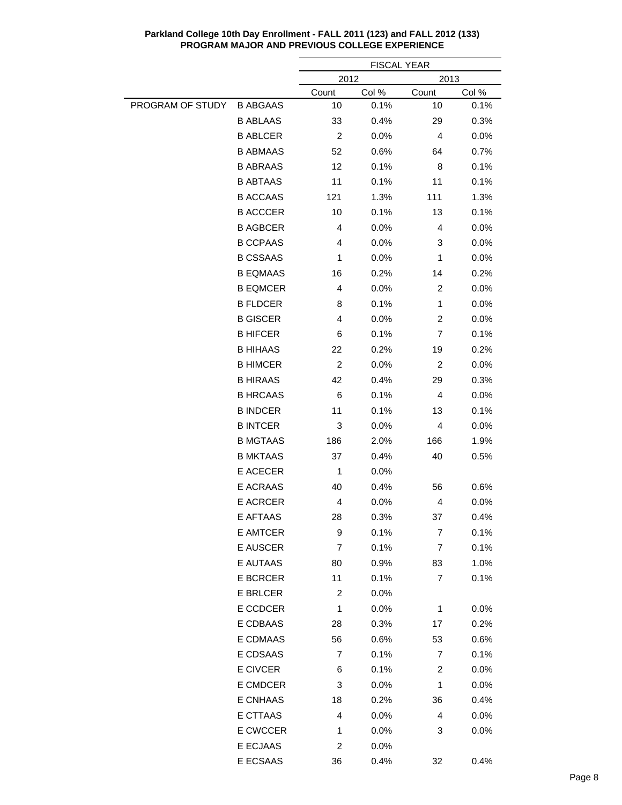|                  |                 | <b>FISCAL YEAR</b>      |       |                         |       |
|------------------|-----------------|-------------------------|-------|-------------------------|-------|
|                  |                 | 2012<br>2013            |       |                         |       |
|                  |                 | <b>Count</b>            | Col % | Count                   | Col % |
| PROGRAM OF STUDY | <b>B ABGAAS</b> | 10                      | 0.1%  | 10                      | 0.1%  |
|                  | <b>B ABLAAS</b> | 33                      | 0.4%  | 29                      | 0.3%  |
|                  | <b>B ABLCER</b> | $\overline{c}$          | 0.0%  | 4                       | 0.0%  |
|                  | <b>B ABMAAS</b> | 52                      | 0.6%  | 64                      | 0.7%  |
|                  | <b>B ABRAAS</b> | 12                      | 0.1%  | 8                       | 0.1%  |
|                  | <b>B ABTAAS</b> | 11                      | 0.1%  | 11                      | 0.1%  |
|                  | <b>B ACCAAS</b> | 121                     | 1.3%  | 111                     | 1.3%  |
|                  | <b>B ACCCER</b> | 10                      | 0.1%  | 13                      | 0.1%  |
|                  | <b>B AGBCER</b> | 4                       | 0.0%  | 4                       | 0.0%  |
|                  | <b>B CCPAAS</b> | 4                       | 0.0%  | 3                       | 0.0%  |
|                  | <b>B CSSAAS</b> | 1                       | 0.0%  | 1                       | 0.0%  |
|                  | <b>B EQMAAS</b> | 16                      | 0.2%  | 14                      | 0.2%  |
|                  | <b>B EQMCER</b> | 4                       | 0.0%  | 2                       | 0.0%  |
|                  | <b>B FLDCER</b> | 8                       | 0.1%  | 1                       | 0.0%  |
|                  | <b>B GISCER</b> | 4                       | 0.0%  | 2                       | 0.0%  |
|                  | <b>B HIFCER</b> | 6                       | 0.1%  | 7                       | 0.1%  |
|                  | <b>B HIHAAS</b> | 22                      | 0.2%  | 19                      | 0.2%  |
|                  | <b>B HIMCER</b> | $\overline{c}$          | 0.0%  | $\overline{c}$          | 0.0%  |
|                  | <b>B HIRAAS</b> | 42                      | 0.4%  | 29                      | 0.3%  |
|                  | <b>B HRCAAS</b> | 6                       | 0.1%  | 4                       | 0.0%  |
|                  | <b>B INDCER</b> | 11                      | 0.1%  | 13                      | 0.1%  |
|                  | <b>B INTCER</b> | 3                       | 0.0%  | 4                       | 0.0%  |
|                  | <b>B MGTAAS</b> | 186                     | 2.0%  | 166                     | 1.9%  |
|                  | <b>B MKTAAS</b> | 37                      | 0.4%  | 40                      | 0.5%  |
|                  | <b>E ACECER</b> | 1                       | 0.0%  |                         |       |
|                  | E ACRAAS        | 40                      | 0.4%  | 56                      | 0.6%  |
|                  | <b>E ACRCER</b> | 4                       | 0.0%  | 4                       | 0.0%  |
|                  | E AFTAAS        | 28                      | 0.3%  | 37                      | 0.4%  |
|                  | E AMTCER        | 9                       | 0.1%  | 7                       | 0.1%  |
|                  | E AUSCER        | 7                       | 0.1%  | 7                       | 0.1%  |
|                  | E AUTAAS        | 80                      | 0.9%  | 83                      | 1.0%  |
|                  | E BCRCER        | 11                      | 0.1%  | 7                       | 0.1%  |
|                  | E BRLCER        | $\overline{\mathbf{c}}$ | 0.0%  |                         |       |
|                  | E CCDCER        | 1                       | 0.0%  | 1                       | 0.0%  |
|                  | E CDBAAS        | 28                      | 0.3%  | 17                      | 0.2%  |
|                  | E CDMAAS        | 56                      | 0.6%  | 53                      | 0.6%  |
|                  | E CDSAAS        | 7                       | 0.1%  | 7                       | 0.1%  |
|                  | E CIVCER        | 6                       | 0.1%  | $\overline{\mathbf{c}}$ | 0.0%  |
|                  | E CMDCER        | 3                       | 0.0%  | 1                       | 0.0%  |
|                  | E CNHAAS        | 18                      | 0.2%  | 36                      | 0.4%  |
|                  | E CTTAAS        | 4                       | 0.0%  | 4                       | 0.0%  |
|                  | E CWCCER        | 1                       | 0.0%  | 3                       | 0.0%  |
|                  | E ECJAAS        | 2                       | 0.0%  |                         |       |
|                  | E ECSAAS        | 36                      | 0.4%  | 32                      | 0.4%  |

**Parkland College 10th Day Enrollment - FALL 2011 (123) and FALL 2012 (133) PROGRAM MAJOR AND PREVIOUS COLLEGE EXPERIENCE**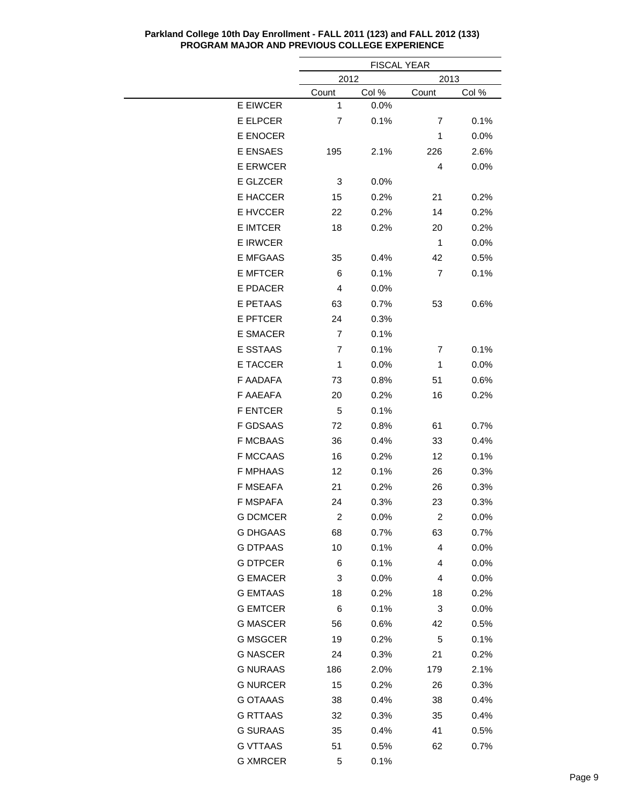|                 |                         | <b>FISCAL YEAR</b> |                  |              |
|-----------------|-------------------------|--------------------|------------------|--------------|
|                 |                         | 2012               |                  | 2013         |
|                 | <b>Count</b>            | Col%               | <b>Count</b>     | <u>Col %</u> |
| E EIWCER        | 1                       | 0.0%               |                  |              |
| E ELPCER        | 7                       | 0.1%               | 7                | 0.1%         |
| E ENOCER        |                         |                    | 1                | 0.0%         |
| E ENSAES        | 195                     | 2.1%               | 226              | 2.6%         |
| <b>E ERWCER</b> |                         |                    | 4                | $0.0\%$      |
| E GLZCER        | 3                       | 0.0%               |                  |              |
| E HACCER        | 15                      | 0.2%               | 21               | 0.2%         |
| E HVCCER        | 22                      | 0.2%               | 14               | 0.2%         |
| <b>E IMTCER</b> | 18                      | 0.2%               | 20               | 0.2%         |
| <b>E IRWCER</b> |                         |                    | 1                | 0.0%         |
| <b>E MFGAAS</b> | 35                      | 0.4%               | 42               | 0.5%         |
| <b>E MFTCER</b> | 6                       | 0.1%               | 7                | 0.1%         |
| E PDACER        | 4                       | 0.0%               |                  |              |
| E PETAAS        | 63                      | 0.7%               | 53               | 0.6%         |
| <b>E PFTCER</b> | 24                      | 0.3%               |                  |              |
| E SMACER        | 7                       | 0.1%               |                  |              |
| E SSTAAS        | 7                       | 0.1%               | 7                | 0.1%         |
| E TACCER        | $\mathbf 1$             | 0.0%               | 1                | 0.0%         |
| F AADAFA        | 73                      | 0.8%               | 51               | 0.6%         |
| F AAEAFA        | 20                      | 0.2%               | 16               | 0.2%         |
| <b>F ENTCER</b> | 5                       | 0.1%               |                  |              |
| F GDSAAS        | 72                      | 0.8%               | 61               | 0.7%         |
| <b>F MCBAAS</b> | 36                      | 0.4%               | 33               | 0.4%         |
| <b>F MCCAAS</b> | 16                      | 0.2%               | 12               | 0.1%         |
| <b>F MPHAAS</b> | 12                      | 0.1%               | 26               | 0.3%         |
| <b>F MSEAFA</b> | 21                      | 0.2%               | 26               | 0.3%         |
| <b>F MSPAFA</b> | 24                      | 0.3%               | 23               | 0.3%         |
| <b>G DCMCER</b> | $\overline{\mathbf{c}}$ | 0.0%               | $\boldsymbol{2}$ | 0.0%         |
| <b>G DHGAAS</b> | 68                      | 0.7%               | 63               | 0.7%         |
| <b>G DTPAAS</b> | 10                      | 0.1%               | 4                | 0.0%         |
| <b>G DTPCER</b> | 6                       | 0.1%               | 4                | $0.0\%$      |
| <b>G EMACER</b> | 3                       | 0.0%               | 4                | $0.0\%$      |
| <b>G EMTAAS</b> | 18                      | 0.2%               | 18               | 0.2%         |
| <b>G EMTCER</b> | 6                       | 0.1%               | 3                | $0.0\%$      |
| <b>G MASCER</b> | 56                      | 0.6%               | 42               | 0.5%         |
| <b>G MSGCER</b> | 19                      | 0.2%               | 5                | 0.1%         |
| <b>G NASCER</b> | 24                      | 0.3%               | 21               | 0.2%         |
| <b>G NURAAS</b> | 186                     | 2.0%               | 179              | 2.1%         |
| <b>G NURCER</b> | 15                      | 0.2%               | 26               | 0.3%         |
| G OTAAAS        | 38                      | 0.4%               | 38               | 0.4%         |
| <b>G RTTAAS</b> | 32                      | 0.3%               | 35               | 0.4%         |
| <b>G SURAAS</b> | 35                      | 0.4%               | 41               | 0.5%         |
| <b>G VTTAAS</b> | 51                      | 0.5%               | 62               | 0.7%         |
| <b>G XMRCER</b> | 5                       | 0.1%               |                  |              |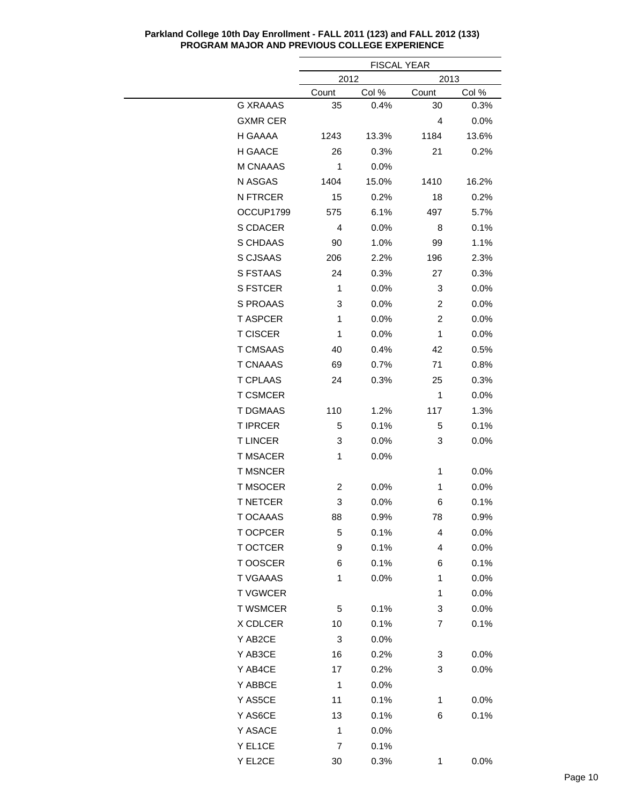|                 | <b>FISCAL YEAR</b> |       |                |         |  |
|-----------------|--------------------|-------|----------------|---------|--|
|                 | 2012               |       | 2013           |         |  |
|                 | Count              | Col % | Count          | Col %   |  |
| <b>G XRAAAS</b> | 35                 | 0.4%  | 30             | 0.3%    |  |
| <b>GXMR CER</b> |                    |       | 4              | 0.0%    |  |
| H GAAAA         | 1243               | 13.3% | 1184           | 13.6%   |  |
| H GAACE         | 26                 | 0.3%  | 21             | 0.2%    |  |
| M CNAAAS        | 1                  | 0.0%  |                |         |  |
| N ASGAS         | 1404               | 15.0% | 1410           | 16.2%   |  |
| N FTRCER        | 15                 | 0.2%  | 18             | 0.2%    |  |
| OCCUP1799       | 575                | 6.1%  | 497            | 5.7%    |  |
| S CDACER        | 4                  | 0.0%  | 8              | 0.1%    |  |
| S CHDAAS        | 90                 | 1.0%  | 99             | 1.1%    |  |
| S CJSAAS        | 206                | 2.2%  | 196            | 2.3%    |  |
| S FSTAAS        | 24                 | 0.3%  | 27             | 0.3%    |  |
| <b>S FSTCER</b> | 1                  | 0.0%  | 3              | 0.0%    |  |
| S PROAAS        | 3                  | 0.0%  | 2              | 0.0%    |  |
| <b>T ASPCER</b> | 1                  | 0.0%  | $\overline{c}$ | 0.0%    |  |
| <b>T CISCER</b> | 1                  | 0.0%  | 1              | 0.0%    |  |
| <b>T CMSAAS</b> | 40                 | 0.4%  | 42             | 0.5%    |  |
| <b>T CNAAAS</b> | 69                 | 0.7%  | 71             | 0.8%    |  |
| <b>T CPLAAS</b> | 24                 | 0.3%  | 25             | 0.3%    |  |
| <b>T CSMCER</b> |                    |       | 1              | 0.0%    |  |
| <b>T DGMAAS</b> | 110                | 1.2%  | 117            | 1.3%    |  |
| <b>T IPRCER</b> | 5                  | 0.1%  | 5              | 0.1%    |  |
| <b>TLINCER</b>  | 3                  | 0.0%  | 3              | $0.0\%$ |  |
| T MSACER        | 1                  | 0.0%  |                |         |  |
| <b>T MSNCER</b> |                    |       | 1              | 0.0%    |  |
| <b>T MSOCER</b> | 2                  | 0.0%  | 1              | 0.0%    |  |
| <b>T NETCER</b> | 3                  | 0.0%  | 6              | 0.1%    |  |
| T OCAAAS        | 88                 | 0.9%  | 78             | 0.9%    |  |
| T OCPCER        | 5                  | 0.1%  | 4              | 0.0%    |  |
| <b>T OCTCER</b> | 9                  | 0.1%  | 4              | 0.0%    |  |
| T OOSCER        | 6                  | 0.1%  | 6              | 0.1%    |  |
| <b>T VGAAAS</b> | 1                  | 0.0%  | 1              | 0.0%    |  |
| <b>TVGWCER</b>  |                    |       | 1              | 0.0%    |  |
| <b>T WSMCER</b> | 5                  | 0.1%  | 3              | 0.0%    |  |
| X CDLCER        | 10                 | 0.1%  | 7              | 0.1%    |  |
| Y AB2CE         | 3                  | 0.0%  |                |         |  |
| Y AB3CE         | 16                 | 0.2%  | 3              | 0.0%    |  |
| Y AB4CE         | 17                 | 0.2%  | 3              | 0.0%    |  |
| Y ABBCE         | 1                  | 0.0%  |                |         |  |
| Y AS5CE         | 11                 | 0.1%  | 1              | 0.0%    |  |
| Y AS6CE         |                    |       |                |         |  |
|                 | 13                 | 0.1%  | 6              | 0.1%    |  |
| Y ASACE         | 1                  | 0.0%  |                |         |  |
| Y EL1CE         | 7                  | 0.1%  |                |         |  |
| Y EL2CE         | 30                 | 0.3%  | $\mathbf{1}$   | 0.0%    |  |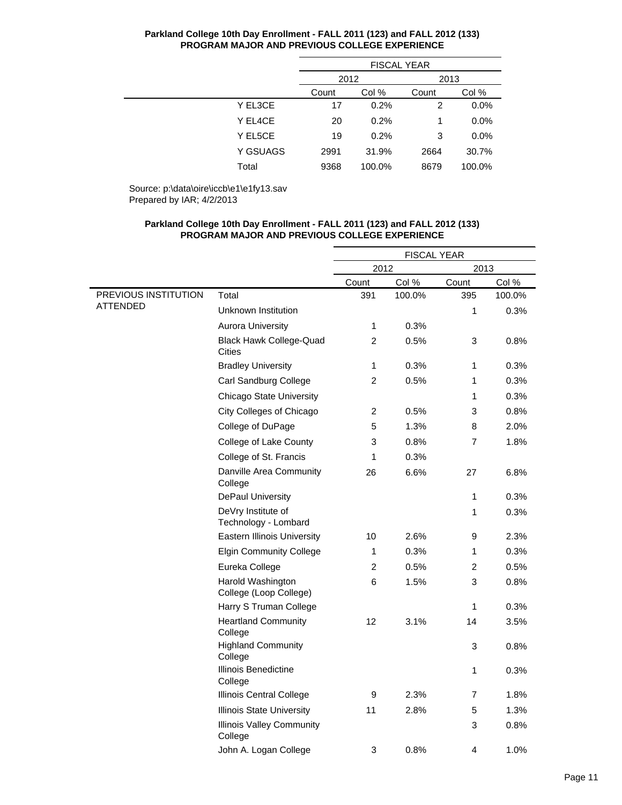|          | <b>FISCAL YEAR</b> |        |       |         |  |
|----------|--------------------|--------|-------|---------|--|
|          | 2012               |        | 2013  |         |  |
|          | Col %<br>Count     |        | Count | Col %   |  |
| Y EL3CE  | 17                 | 0.2%   | 2     | 0.0%    |  |
| Y EL4CE  | 20                 | 0.2%   | 1     | $0.0\%$ |  |
| Y EL5CE  | 19                 | 0.2%   | 3     | 0.0%    |  |
| Y GSUAGS | 2991               | 31.9%  | 2664  | 30.7%   |  |
| Total    | 9368               | 100.0% | 8679  | 100.0%  |  |

Source: p:\data\oire\iccb\e1\e1fy13.sav Prepared by IAR; 4/2/2013

|                      |                                             | <b>FISCAL YEAR</b> |        |                |        |  |
|----------------------|---------------------------------------------|--------------------|--------|----------------|--------|--|
|                      |                                             | 2012               |        |                | 2013   |  |
|                      |                                             | Count              | Col %  | Count          | Col %  |  |
| PREVIOUS INSTITUTION | Total                                       | 391                | 100.0% | 395            | 100.0% |  |
| <b>ATTENDED</b>      | Unknown Institution                         |                    |        | 1              | 0.3%   |  |
|                      | <b>Aurora University</b>                    | 1                  | 0.3%   |                |        |  |
|                      | <b>Black Hawk College-Quad</b><br>Cities    | $\overline{c}$     | 0.5%   | 3              | 0.8%   |  |
|                      | <b>Bradley University</b>                   | 1                  | 0.3%   | 1              | 0.3%   |  |
|                      | Carl Sandburg College                       | $\overline{2}$     | 0.5%   | 1              | 0.3%   |  |
|                      | <b>Chicago State University</b>             |                    |        | 1              | 0.3%   |  |
|                      | City Colleges of Chicago                    | $\overline{2}$     | 0.5%   | 3              | 0.8%   |  |
|                      | College of DuPage                           | 5                  | 1.3%   | 8              | 2.0%   |  |
|                      | College of Lake County                      | 3                  | 0.8%   | 7              | 1.8%   |  |
|                      | College of St. Francis                      | 1                  | 0.3%   |                |        |  |
|                      | Danville Area Community<br>College          | 26                 | 6.6%   | 27             | 6.8%   |  |
|                      | DePaul University                           |                    |        | 1              | 0.3%   |  |
|                      | DeVry Institute of<br>Technology - Lombard  |                    |        | 1              | 0.3%   |  |
|                      | <b>Eastern Illinois University</b>          | 10                 | 2.6%   | 9              | 2.3%   |  |
|                      | <b>Elgin Community College</b>              | 1                  | 0.3%   | 1              | 0.3%   |  |
|                      | Eureka College                              | $\overline{2}$     | 0.5%   | $\overline{c}$ | 0.5%   |  |
|                      | Harold Washington<br>College (Loop College) | 6                  | 1.5%   | 3              | 0.8%   |  |
|                      | Harry S Truman College                      |                    |        | 1              | 0.3%   |  |
|                      | <b>Heartland Community</b><br>College       | 12                 | 3.1%   | 14             | 3.5%   |  |
|                      | <b>Highland Community</b><br>College        |                    |        | 3              | 0.8%   |  |
|                      | Illinois Benedictine<br>College             |                    |        | 1              | 0.3%   |  |
|                      | Illinois Central College                    | 9                  | 2.3%   | 7              | 1.8%   |  |
|                      | <b>Illinois State University</b>            | 11                 | 2.8%   | 5              | 1.3%   |  |
|                      | <b>Illinois Valley Community</b><br>College |                    |        | 3              | 0.8%   |  |
|                      | John A. Logan College                       | 3                  | 0.8%   | 4              | 1.0%   |  |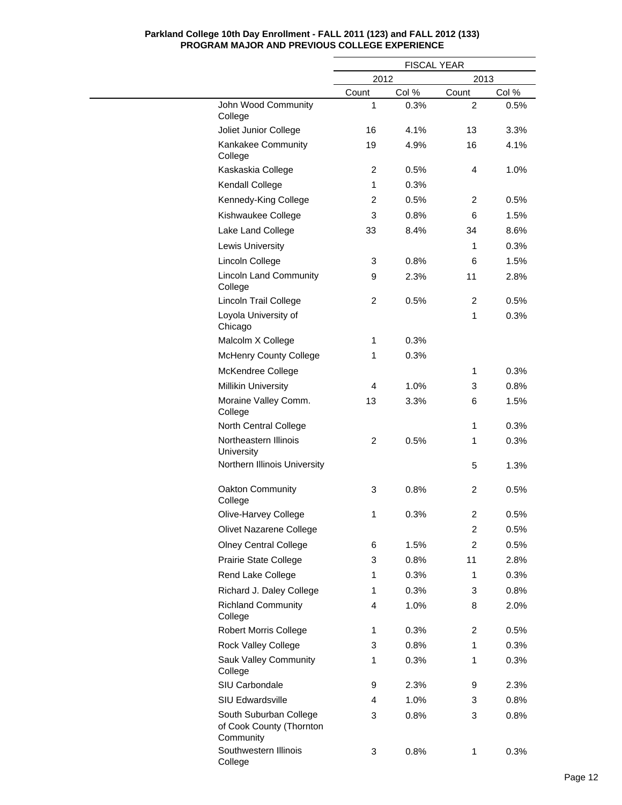|                                                                 | <b>FISCAL YEAR</b> |       |                |       |
|-----------------------------------------------------------------|--------------------|-------|----------------|-------|
|                                                                 | 2012               |       | 2013           |       |
|                                                                 | Count              | Col % | Count          | Col % |
| John Wood Community<br>College                                  | 1                  | 0.3%  | 2              | 0.5%  |
| Joliet Junior College                                           | 16                 | 4.1%  | 13             | 3.3%  |
| Kankakee Community<br>College                                   | 19                 | 4.9%  | 16             | 4.1%  |
| Kaskaskia College                                               | $\overline{c}$     | 0.5%  | 4              | 1.0%  |
| <b>Kendall College</b>                                          | 1                  | 0.3%  |                |       |
| Kennedy-King College                                            | $\overline{c}$     | 0.5%  | $\overline{c}$ | 0.5%  |
| Kishwaukee College                                              | 3                  | 0.8%  | 6              | 1.5%  |
| Lake Land College                                               | 33                 | 8.4%  | 34             | 8.6%  |
| Lewis University                                                |                    |       | 1              | 0.3%  |
| Lincoln College                                                 | 3                  | 0.8%  | 6              | 1.5%  |
| <b>Lincoln Land Community</b><br>College                        | 9                  | 2.3%  | 11             | 2.8%  |
| Lincoln Trail College                                           | $\overline{c}$     | 0.5%  | 2              | 0.5%  |
| Loyola University of<br>Chicago                                 |                    |       | 1              | 0.3%  |
| Malcolm X College                                               | 1                  | 0.3%  |                |       |
| <b>McHenry County College</b>                                   | 1                  | 0.3%  |                |       |
| McKendree College                                               |                    |       | $\mathbf{1}$   | 0.3%  |
| <b>Millikin University</b>                                      | 4                  | 1.0%  | 3              | 0.8%  |
| Moraine Valley Comm.<br>College                                 | 13                 | 3.3%  | 6              | 1.5%  |
| North Central College                                           |                    |       | 1              | 0.3%  |
| Northeastern Illinois<br>University                             | 2                  | 0.5%  | 1              | 0.3%  |
| Northern Illinois University                                    |                    |       | 5              | 1.3%  |
| Oakton Community<br>College                                     | 3                  | 0.8%  | $\overline{c}$ | 0.5%  |
| Olive-Harvey College                                            | 1                  | 0.3%  | 2              | 0.5%  |
| Olivet Nazarene College                                         |                    |       | $\overline{c}$ | 0.5%  |
| <b>Olney Central College</b>                                    | 6                  | 1.5%  | 2              | 0.5%  |
| Prairie State College                                           | 3                  | 0.8%  | 11             | 2.8%  |
| Rend Lake College                                               | 1                  | 0.3%  | 1              | 0.3%  |
| Richard J. Daley College                                        | 1                  | 0.3%  | 3              | 0.8%  |
| <b>Richland Community</b><br>College                            | 4                  | 1.0%  | 8              | 2.0%  |
| <b>Robert Morris College</b>                                    | 1                  | 0.3%  | 2              | 0.5%  |
| Rock Valley College                                             | 3                  | 0.8%  | 1              | 0.3%  |
| Sauk Valley Community<br>College                                | 1                  | 0.3%  | 1              | 0.3%  |
| SIU Carbondale                                                  | 9                  | 2.3%  | 9              | 2.3%  |
| SIU Edwardsville                                                | 4                  | 1.0%  | 3              | 0.8%  |
| South Suburban College<br>of Cook County (Thornton<br>Community | 3                  | 0.8%  | 3              | 0.8%  |
| Southwestern Illinois<br>College                                | 3                  | 0.8%  | 1              | 0.3%  |